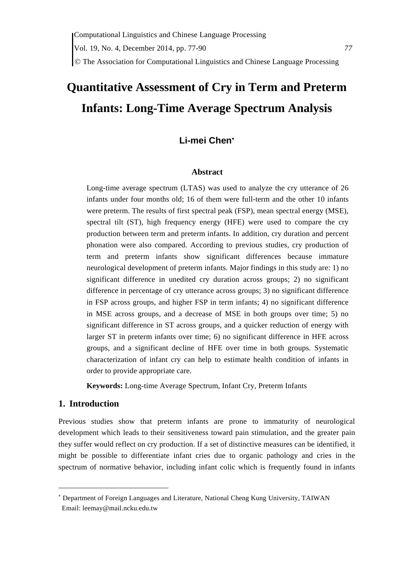## The Association for Computational Linguistics and Chinese Language Processing

# **Quantitative Assessment of Cry in Term and Preterm Infants: Long-Time Average Spectrum Analysis**

## **Li-mei Chen**

#### **Abstract**

Long-time average spectrum (LTAS) was used to analyze the cry utterance of 26 infants under four months old; 16 of them were full-term and the other 10 infants were preterm. The results of first spectral peak (FSP), mean spectral energy (MSE), spectral tilt (ST), high frequency energy (HFE) were used to compare the cry production between term and preterm infants. In addition, cry duration and percent phonation were also compared. According to previous studies, cry production of term and preterm infants show significant differences because immature neurological development of preterm infants. Major findings in this study are: 1) no significant difference in unedited cry duration across groups; 2) no significant difference in percentage of cry utterance across groups; 3) no significant difference in FSP across groups, and higher FSP in term infants; 4) no significant difference in MSE across groups, and a decrease of MSE in both groups over time; 5) no significant difference in ST across groups, and a quicker reduction of energy with larger ST in preterm infants over time; 6) no significant difference in HFE across groups, and a significant decline of HFE over time in both groups. Systematic characterization of infant cry can help to estimate health condition of infants in order to provide appropriate care.

**Keywords:** Long-time Average Spectrum, Infant Cry, Preterm Infants

#### **1. Introduction**

Previous studies show that preterm infants are prone to immaturity of neurological development which leads to their sensitiveness toward pain stimulation, and the greater pain they suffer would reflect on cry production. If a set of distinctive measures can be identified, it might be possible to differentiate infant cries due to organic pathology and cries in the spectrum of normative behavior, including infant colic which is frequently found in infants

 Department of Foreign Languages and Literature, National Cheng Kung University, TAIWAN Email: leemay@mail.ncku.edu.tw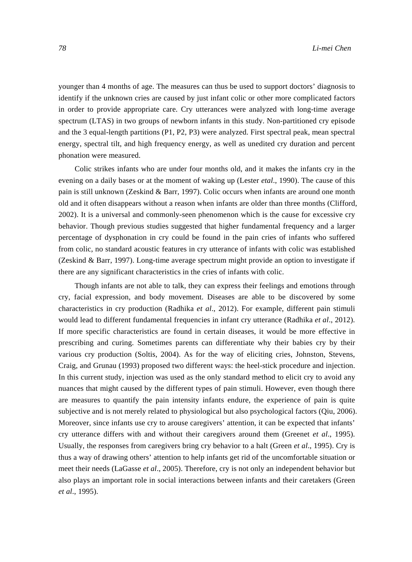younger than 4 months of age. The measures can thus be used to support doctors' diagnosis to identify if the unknown cries are caused by just infant colic or other more complicated factors in order to provide appropriate care. Cry utterances were analyzed with long-time average spectrum (LTAS) in two groups of newborn infants in this study. Non-partitioned cry episode and the 3 equal-length partitions (P1, P2, P3) were analyzed. First spectral peak, mean spectral energy, spectral tilt, and high frequency energy, as well as unedited cry duration and percent phonation were measured.

Colic strikes infants who are under four months old, and it makes the infants cry in the evening on a daily bases or at the moment of waking up (Lester *etal*., 1990). The cause of this pain is still unknown (Zeskind & Barr, 1997). Colic occurs when infants are around one month old and it often disappears without a reason when infants are older than three months (Clifford, 2002). It is a universal and commonly-seen phenomenon which is the cause for excessive cry behavior. Though previous studies suggested that higher fundamental frequency and a larger percentage of dysphonation in cry could be found in the pain cries of infants who suffered from colic, no standard acoustic features in cry utterance of infants with colic was established (Zeskind & Barr, 1997). Long-time average spectrum might provide an option to investigate if there are any significant characteristics in the cries of infants with colic.

Though infants are not able to talk, they can express their feelings and emotions through cry, facial expression, and body movement. Diseases are able to be discovered by some characteristics in cry production (Radhika *et al*., 2012). For example, different pain stimuli would lead to different fundamental frequencies in infant cry utterance (Radhika *et al*., 2012). If more specific characteristics are found in certain diseases, it would be more effective in prescribing and curing. Sometimes parents can differentiate why their babies cry by their various cry production (Soltis, 2004). As for the way of eliciting cries, Johnston, Stevens, Craig, and Grunau (1993) proposed two different ways: the heel-stick procedure and injection. In this current study, injection was used as the only standard method to elicit cry to avoid any nuances that might caused by the different types of pain stimuli. However, even though there are measures to quantify the pain intensity infants endure, the experience of pain is quite subjective and is not merely related to physiological but also psychological factors (Qiu, 2006). Moreover, since infants use cry to arouse caregivers' attention, it can be expected that infants' cry utterance differs with and without their caregivers around them (Greenet *et al*., 1995). Usually, the responses from caregivers bring cry behavior to a halt (Green *et al*., 1995). Cry is thus a way of drawing others' attention to help infants get rid of the uncomfortable situation or meet their needs (LaGasse *et al*., 2005). Therefore, cry is not only an independent behavior but also plays an important role in social interactions between infants and their caretakers (Green *et al*., 1995).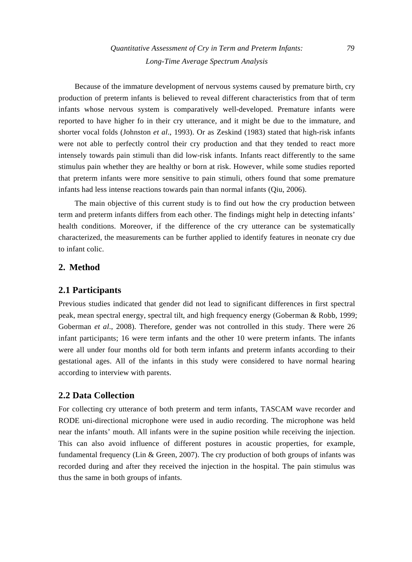*Quantitative Assessment of Cry in Term and Preterm Infants: 79 Long-Time Average Spectrum Analysis* 

Because of the immature development of nervous systems caused by premature birth, cry production of preterm infants is believed to reveal different characteristics from that of term infants whose nervous system is comparatively well-developed. Premature infants were reported to have higher fo in their cry utterance, and it might be due to the immature, and shorter vocal folds (Johnston *et al*., 1993). Or as Zeskind (1983) stated that high-risk infants were not able to perfectly control their cry production and that they tended to react more intensely towards pain stimuli than did low-risk infants. Infants react differently to the same stimulus pain whether they are healthy or born at risk. However, while some studies reported that preterm infants were more sensitive to pain stimuli, others found that some premature infants had less intense reactions towards pain than normal infants (Qiu, 2006).

The main objective of this current study is to find out how the cry production between term and preterm infants differs from each other. The findings might help in detecting infants' health conditions. Moreover, if the difference of the cry utterance can be systematically characterized, the measurements can be further applied to identify features in neonate cry due to infant colic.

### **2. Method**

#### **2.1 Participants**

Previous studies indicated that gender did not lead to significant differences in first spectral peak, mean spectral energy, spectral tilt, and high frequency energy (Goberman & Robb, 1999; Goberman *et al*., 2008). Therefore, gender was not controlled in this study. There were 26 infant participants; 16 were term infants and the other 10 were preterm infants. The infants were all under four months old for both term infants and preterm infants according to their gestational ages. All of the infants in this study were considered to have normal hearing according to interview with parents.

### **2.2 Data Collection**

For collecting cry utterance of both preterm and term infants, TASCAM wave recorder and RODE uni-directional microphone were used in audio recording. The microphone was held near the infants' mouth. All infants were in the supine position while receiving the injection. This can also avoid influence of different postures in acoustic properties, for example, fundamental frequency (Lin & Green, 2007). The cry production of both groups of infants was recorded during and after they received the injection in the hospital. The pain stimulus was thus the same in both groups of infants.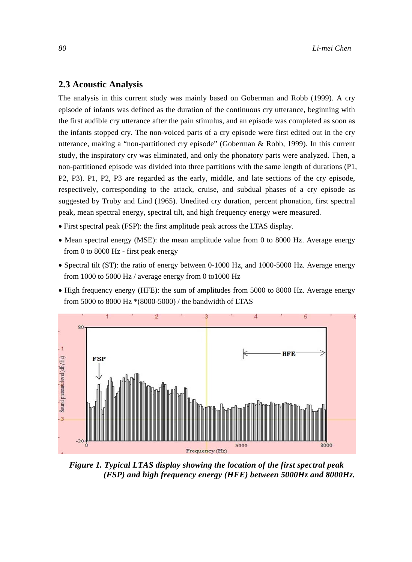### **2.3 Acoustic Analysis**

The analysis in this current study was mainly based on Goberman and Robb (1999). A cry episode of infants was defined as the duration of the continuous cry utterance, beginning with the first audible cry utterance after the pain stimulus, and an episode was completed as soon as the infants stopped cry. The non-voiced parts of a cry episode were first edited out in the cry utterance, making a "non-partitioned cry episode" (Goberman & Robb, 1999). In this current study, the inspiratory cry was eliminated, and only the phonatory parts were analyzed. Then, a non-partitioned episode was divided into three partitions with the same length of durations (P1, P2, P3). P1, P2, P3 are regarded as the early, middle, and late sections of the cry episode, respectively, corresponding to the attack, cruise, and subdual phases of a cry episode as suggested by Truby and Lind (1965). Unedited cry duration, percent phonation, first spectral peak, mean spectral energy, spectral tilt, and high frequency energy were measured.

- First spectral peak (FSP): the first amplitude peak across the LTAS display.
- Mean spectral energy (MSE): the mean amplitude value from 0 to 8000 Hz. Average energy from 0 to 8000 Hz - first peak energy
- Spectral tilt (ST): the ratio of energy between 0-1000 Hz, and 1000-5000 Hz. Average energy from 1000 to 5000 Hz / average energy from 0 to1000 Hz
- High frequency energy (HFE): the sum of amplitudes from 5000 to 8000 Hz. Average energy from 5000 to 8000 Hz \*(8000-5000) / the bandwidth of LTAS



*Figure 1. Typical LTAS display showing the location of the first spectral peak (FSP) and high frequency energy (HFE) between 5000Hz and 8000Hz.*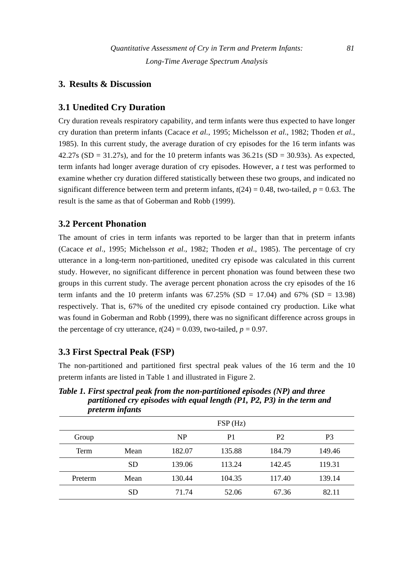## **3. Results & Discussion**

## **3.1 Unedited Cry Duration**

Cry duration reveals respiratory capability, and term infants were thus expected to have longer cry duration than preterm infants (Cacace *et al.*, 1995; Michelsson *et al*., 1982; Thoden *et al.*, 1985). In this current study, the average duration of cry episodes for the 16 term infants was 42.27s (SD = 31.27s), and for the 10 preterm infants was  $36.21s$  (SD = 30.93s). As expected, term infants had longer average duration of cry episodes. However, a *t* test was performed to examine whether cry duration differed statistically between these two groups, and indicated no significant difference between term and preterm infants,  $t(24) = 0.48$ , two-tailed,  $p = 0.63$ . The result is the same as that of Goberman and Robb (1999).

## **3.2 Percent Phonation**

The amount of cries in term infants was reported to be larger than that in preterm infants (Cacace *et al*., 1995; Michelsson *et al*., 1982; Thoden *et al*., 1985). The percentage of cry utterance in a long-term non-partitioned, unedited cry episode was calculated in this current study. However, no significant difference in percent phonation was found between these two groups in this current study. The average percent phonation across the cry episodes of the 16 term infants and the 10 preterm infants was  $67.25\%$  (SD = 17.04) and  $67\%$  (SD = 13.98) respectively. That is, 67% of the unedited cry episode contained cry production. Like what was found in Goberman and Robb (1999), there was no significant difference across groups in the percentage of cry utterance,  $t(24) = 0.039$ , two-tailed,  $p = 0.97$ .

## **3.3 First Spectral Peak (FSP)**

The non-partitioned and partitioned first spectral peak values of the 16 term and the 10 preterm infants are listed in Table 1 and illustrated in Figure 2.

*Table 1. First spectral peak from the non-partitioned episodes (NP) and three partitioned cry episodes with equal length (P1, P2, P3) in the term and preterm infants* 

|         |           |        | FSP(Hz)        |                |        |
|---------|-----------|--------|----------------|----------------|--------|
| Group   |           | NP     | P <sub>1</sub> | P <sub>2</sub> | P3     |
| Term    | Mean      | 182.07 | 135.88         | 184.79         | 149.46 |
|         | <b>SD</b> | 139.06 | 113.24         | 142.45         | 119.31 |
| Preterm | Mean      | 130.44 | 104.35         | 117.40         | 139.14 |
|         | <b>SD</b> | 71.74  | 52.06          | 67.36          | 82.11  |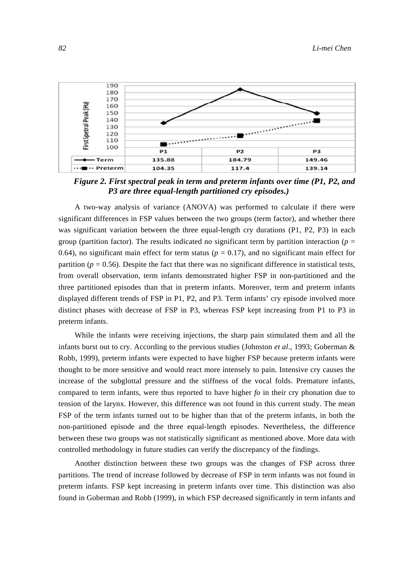

*Figure 2. First spectral peak in term and preterm infants over time (P1, P2, and P3 are three equal-length partitioned cry episodes.)* 

A two-way analysis of variance (ANOVA) was performed to calculate if there were significant differences in FSP values between the two groups (term factor), and whether there was significant variation between the three equal-length cry durations (P1, P2, P3) in each group (partition factor). The results indicated no significant term by partition interaction ( $p =$ 0.64), no significant main effect for term status ( $p = 0.17$ ), and no significant main effect for partition ( $p = 0.56$ ). Despite the fact that there was no significant difference in statistical tests, from overall observation, term infants demonstrated higher FSP in non-partitioned and the three partitioned episodes than that in preterm infants. Moreover, term and preterm infants displayed different trends of FSP in P1, P2, and P3. Term infants' cry episode involved more distinct phases with decrease of FSP in P3, whereas FSP kept increasing from P1 to P3 in preterm infants.

While the infants were receiving injections, the sharp pain stimulated them and all the infants burst out to cry. According to the previous studies (Johnston *et al*., 1993; Goberman & Robb, 1999), preterm infants were expected to have higher FSP because preterm infants were thought to be more sensitive and would react more intensely to pain. Intensive cry causes the increase of the subglottal pressure and the stiffness of the vocal folds. Premature infants, compared to term infants, were thus reported to have higher *fo* in their cry phonation due to tension of the larynx. However, this difference was not found in this current study. The mean FSP of the term infants turned out to be higher than that of the preterm infants, in both the non-partitioned episode and the three equal-length episodes. Nevertheless, the difference between these two groups was not statistically significant as mentioned above. More data with controlled methodology in future studies can verify the discrepancy of the findings.

Another distinction between these two groups was the changes of FSP across three partitions. The trend of increase followed by decrease of FSP in term infants was not found in preterm infants. FSP kept increasing in preterm infants over time. This distinction was also found in Goberman and Robb (1999), in which FSP decreased significantly in term infants and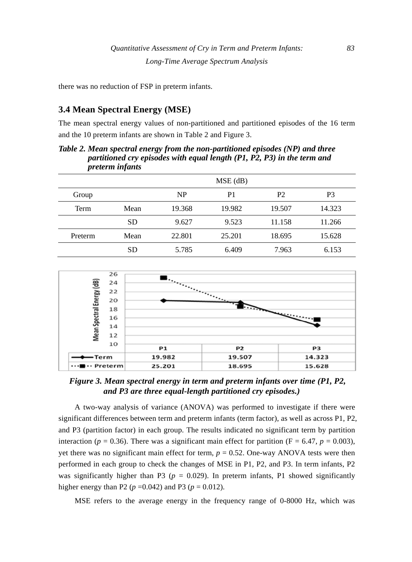there was no reduction of FSP in preterm infants.

## **3.4 Mean Spectral Energy (MSE)**

The mean spectral energy values of non-partitioned and partitioned episodes of the 16 term and the 10 preterm infants are shown in Table 2 and Figure 3.

*Table 2. Mean spectral energy from the non-partitioned episodes (NP) and three partitioned cry episodes with equal length (P1, P2, P3) in the term and preterm infants* 

|         |           |        | $MSE$ (dB) |                |        |
|---------|-----------|--------|------------|----------------|--------|
| Group   |           | NP     | P1         | P <sub>2</sub> | P3     |
| Term    | Mean      | 19.368 | 19.982     | 19.507         | 14.323 |
|         | <b>SD</b> | 9.627  | 9.523      | 11.158         | 11.266 |
| Preterm | Mean      | 22.801 | 25.201     | 18.695         | 15.628 |
|         | <b>SD</b> | 5.785  | 6.409      | 7.963          | 6.153  |



*Figure 3. Mean spectral energy in term and preterm infants over time (P1, P2, and P3 are three equal-length partitioned cry episodes.)* 

A two-way analysis of variance (ANOVA) was performed to investigate if there were significant differences between term and preterm infants (term factor), as well as across P1, P2, and P3 (partition factor) in each group. The results indicated no significant term by partition interaction ( $p = 0.36$ ). There was a significant main effect for partition ( $F = 6.47$ ,  $p = 0.003$ ), yet there was no significant main effect for term,  $p = 0.52$ . One-way ANOVA tests were then performed in each group to check the changes of MSE in P1, P2, and P3. In term infants, P2 was significantly higher than P3 ( $p = 0.029$ ). In preterm infants, P1 showed significantly higher energy than P2 ( $p = 0.042$ ) and P3 ( $p = 0.012$ ).

MSE refers to the average energy in the frequency range of 0-8000 Hz, which was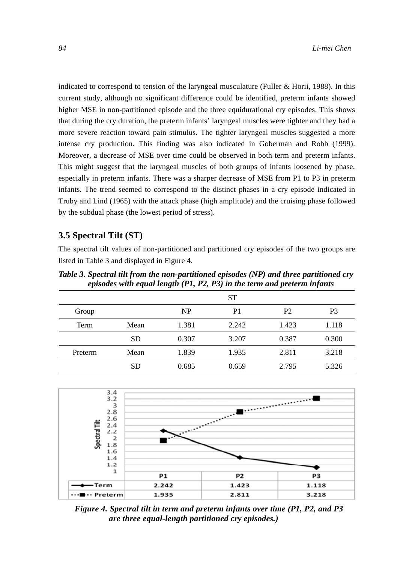indicated to correspond to tension of the laryngeal musculature (Fuller & Horii, 1988). In this current study, although no significant difference could be identified, preterm infants showed higher MSE in non-partitioned episode and the three equidurational cry episodes. This shows that during the cry duration, the preterm infants' laryngeal muscles were tighter and they had a more severe reaction toward pain stimulus. The tighter laryngeal muscles suggested a more intense cry production. This finding was also indicated in Goberman and Robb (1999). Moreover, a decrease of MSE over time could be observed in both term and preterm infants. This might suggest that the laryngeal muscles of both groups of infants loosened by phase, especially in preterm infants. There was a sharper decrease of MSE from P1 to P3 in preterm infants. The trend seemed to correspond to the distinct phases in a cry episode indicated in Truby and Lind (1965) with the attack phase (high amplitude) and the cruising phase followed by the subdual phase (the lowest period of stress).

## **3.5 Spectral Tilt (ST)**

The spectral tilt values of non-partitioned and partitioned cry episodes of the two groups are listed in Table 3 and displayed in Figure 4.

*Table 3. Spectral tilt from the non-partitioned episodes (NP) and three partitioned cry episodes with equal length (P1, P2, P3) in the term and preterm infants* 

|         |           |           | <b>ST</b>      |                |       |
|---------|-----------|-----------|----------------|----------------|-------|
| Group   |           | <b>NP</b> | P <sub>1</sub> | P <sub>2</sub> | P3    |
| Term    | Mean      | 1.381     | 2.242          | 1.423          | 1.118 |
|         | <b>SD</b> | 0.307     | 3.207          | 0.387          | 0.300 |
| Preterm | Mean      | 1.839     | 1.935          | 2.811          | 3.218 |
|         | <b>SD</b> | 0.685     | 0.659          | 2.795          | 5.326 |



*Figure 4. Spectral tilt in term and preterm infants over time (P1, P2, and P3 are three equal-length partitioned cry episodes.)*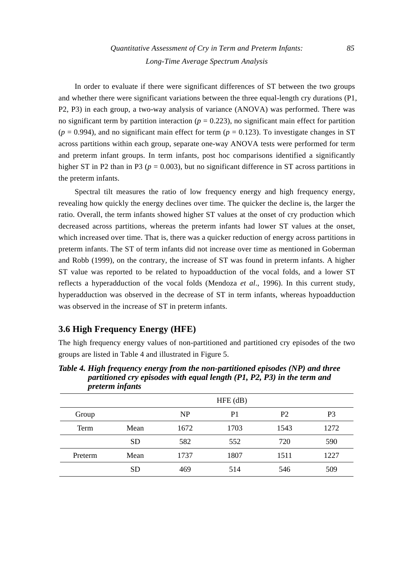In order to evaluate if there were significant differences of ST between the two groups and whether there were significant variations between the three equal-length cry durations (P1, P2, P3) in each group, a two-way analysis of variance (ANOVA) was performed. There was no significant term by partition interaction ( $p = 0.223$ ), no significant main effect for partition  $(p = 0.994)$ , and no significant main effect for term  $(p = 0.123)$ . To investigate changes in ST across partitions within each group, separate one-way ANOVA tests were performed for term and preterm infant groups. In term infants, post hoc comparisons identified a significantly higher ST in P2 than in P3 ( $p = 0.003$ ), but no significant difference in ST across partitions in the preterm infants.

Spectral tilt measures the ratio of low frequency energy and high frequency energy, revealing how quickly the energy declines over time. The quicker the decline is, the larger the ratio. Overall, the term infants showed higher ST values at the onset of cry production which decreased across partitions, whereas the preterm infants had lower ST values at the onset, which increased over time. That is, there was a quicker reduction of energy across partitions in preterm infants. The ST of term infants did not increase over time as mentioned in Goberman and Robb (1999), on the contrary, the increase of ST was found in preterm infants. A higher ST value was reported to be related to hypoadduction of the vocal folds, and a lower ST reflects a hyperadduction of the vocal folds (Mendoza *et al*., 1996). In this current study, hyperadduction was observed in the decrease of ST in term infants, whereas hypoadduction was observed in the increase of ST in preterm infants.

## **3.6 High Frequency Energy (HFE)**

The high frequency energy values of non-partitioned and partitioned cry episodes of the two groups are listed in Table 4 and illustrated in Figure 5.

 HFE (dB) Group NP P1 P2 P3 Term Mean 1672 1703 1543 1272 SD 582 552 720 590 Preterm Mean 1737 1807 1511 1227 SD 469 514 546 509

*Table 4. High frequency energy from the non-partitioned episodes (NP) and three partitioned cry episodes with equal length (P1, P2, P3) in the term and preterm infants*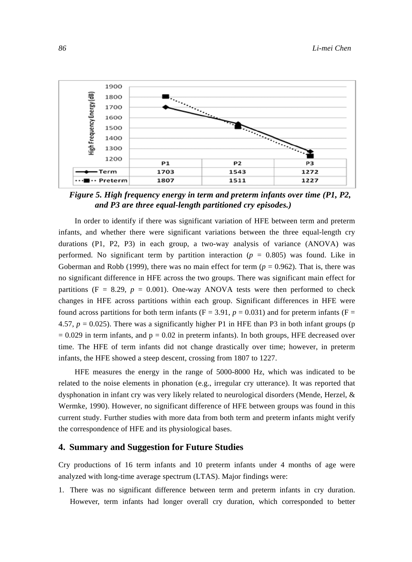

*Figure 5. High frequency energy in term and preterm infants over time (P1, P2, and P3 are three equal-length partitioned cry episodes.)* 

In order to identify if there was significant variation of HFE between term and preterm infants, and whether there were significant variations between the three equal-length cry durations (P1, P2, P3) in each group, a two-way analysis of variance (ANOVA) was performed. No significant term by partition interaction ( $p = 0.805$ ) was found. Like in Goberman and Robb (1999), there was no main effect for term  $(p = 0.962)$ . That is, there was no significant difference in HFE across the two groups. There was significant main effect for partitions ( $F = 8.29$ ,  $p = 0.001$ ). One-way ANOVA tests were then performed to check changes in HFE across partitions within each group. Significant differences in HFE were found across partitions for both term infants ( $F = 3.91$ ,  $p = 0.031$ ) and for preterm infants ( $F =$ 4.57,  $p = 0.025$ ). There was a significantly higher P1 in HFE than P3 in both infant groups (p  $= 0.029$  in term infants, and  $p = 0.02$  in preterm infants). In both groups, HFE decreased over time. The HFE of term infants did not change drastically over time; however, in preterm infants, the HFE showed a steep descent, crossing from 1807 to 1227.

HFE measures the energy in the range of 5000-8000 Hz, which was indicated to be related to the noise elements in phonation (e.g., irregular cry utterance). It was reported that dysphonation in infant cry was very likely related to neurological disorders (Mende, Herzel, & Wermke, 1990). However, no significant difference of HFE between groups was found in this current study. Further studies with more data from both term and preterm infants might verify the correspondence of HFE and its physiological bases.

#### **4. Summary and Suggestion for Future Studies**

Cry productions of 16 term infants and 10 preterm infants under 4 months of age were analyzed with long-time average spectrum (LTAS). Major findings were:

1. There was no significant difference between term and preterm infants in cry duration. However, term infants had longer overall cry duration, which corresponded to better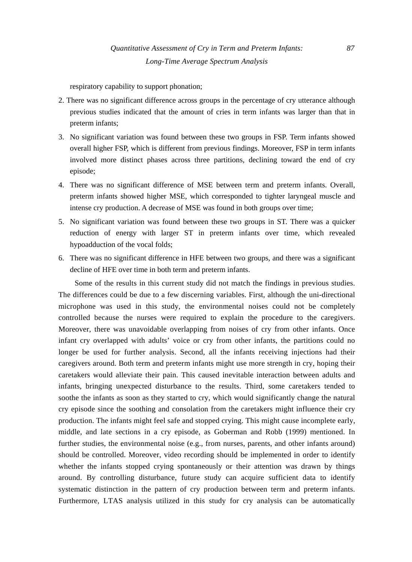respiratory capability to support phonation;

- 2. There was no significant difference across groups in the percentage of cry utterance although previous studies indicated that the amount of cries in term infants was larger than that in preterm infants;
- 3. No significant variation was found between these two groups in FSP. Term infants showed overall higher FSP, which is different from previous findings. Moreover, FSP in term infants involved more distinct phases across three partitions, declining toward the end of cry episode;
- 4. There was no significant difference of MSE between term and preterm infants. Overall, preterm infants showed higher MSE, which corresponded to tighter laryngeal muscle and intense cry production. A decrease of MSE was found in both groups over time;
- 5. No significant variation was found between these two groups in ST. There was a quicker reduction of energy with larger ST in preterm infants over time, which revealed hypoadduction of the vocal folds;
- 6. There was no significant difference in HFE between two groups, and there was a significant decline of HFE over time in both term and preterm infants.

Some of the results in this current study did not match the findings in previous studies. The differences could be due to a few discerning variables. First, although the uni-directional microphone was used in this study, the environmental noises could not be completely controlled because the nurses were required to explain the procedure to the caregivers. Moreover, there was unavoidable overlapping from noises of cry from other infants. Once infant cry overlapped with adults' voice or cry from other infants, the partitions could no longer be used for further analysis. Second, all the infants receiving injections had their caregivers around. Both term and preterm infants might use more strength in cry, hoping their caretakers would alleviate their pain. This caused inevitable interaction between adults and infants, bringing unexpected disturbance to the results. Third, some caretakers tended to soothe the infants as soon as they started to cry, which would significantly change the natural cry episode since the soothing and consolation from the caretakers might influence their cry production. The infants might feel safe and stopped crying. This might cause incomplete early, middle, and late sections in a cry episode, as Goberman and Robb (1999) mentioned. In further studies, the environmental noise (e.g., from nurses, parents, and other infants around) should be controlled. Moreover, video recording should be implemented in order to identify whether the infants stopped crying spontaneously or their attention was drawn by things around. By controlling disturbance, future study can acquire sufficient data to identify systematic distinction in the pattern of cry production between term and preterm infants. Furthermore, LTAS analysis utilized in this study for cry analysis can be automatically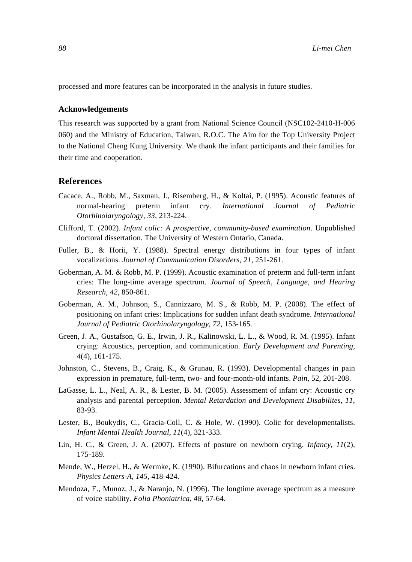processed and more features can be incorporated in the analysis in future studies.

#### **Acknowledgements**

This research was supported by a grant from National Science Council (NSC102-2410-H-006 060) and the Ministry of Education, Taiwan, R.O.C. The Aim for the Top University Project to the National Cheng Kung University. We thank the infant participants and their families for their time and cooperation.

#### **References**

- Cacace, A., Robb, M., Saxman, J., Risemberg, H., & Koltai, P. (1995). Acoustic features of normal-hearing preterm infant cry. *International Journal of Pediatric Otorhinolaryngology*, *33*, 213-224.
- Clifford, T. (2002). *Infant colic: A prospective, community-based examination*. Unpublished doctoral dissertation. The University of Western Ontario, Canada.
- Fuller, B., & Horii, Y. (1988). Spectral energy distributions in four types of infant vocalizations. *Journal of Communication Disorders*, *21*, 251-261.
- Goberman, A. M. & Robb, M. P. (1999). Acoustic examination of preterm and full-term infant cries: The long-time average spectrum. *Journal of Speech, Language, and Hearing Research*, *42*, 850-861.
- Goberman, A. M., Johnson, S., Cannizzaro, M. S., & Robb, M. P. (2008). The effect of positioning on infant cries: Implications for sudden infant death syndrome. *International Journal of Pediatric Otorhinolaryngology*, *72*, 153-165.
- Green, J. A., Gustafson, G. E., Irwin, J. R., Kalinowski, L. L., & Wood, R. M. (1995). Infant crying: Acoustics, perception, and communication. *Early Development and Parenting*, *4*(4), 161-175.
- Johnston, C., Stevens, B., Craig, K., & Grunau, R. (1993). Developmental changes in pain expression in premature, full-term, two- and four-month-old infants. *Pain*, 52, 201-208.
- LaGasse, L. L., Neal, A. R., & Lester, B. M. (2005). Assessment of infant cry: Acoustic cry analysis and parental perception. *Mental Retardation and Development Disabilites*, *11*, 83-93.
- Lester, B., Boukydis, C., Gracia-Coll, C. & Hole, W. (1990). Colic for developmentalists. *Infant Mental Health Journal*, *11*(4), 321-333.
- Lin, H. C., & Green, J. A. (2007). Effects of posture on newborn crying. *Infancy*, *11*(2), 175-189.
- Mende, W., Herzel, H., & Wermke, K. (1990). Bifurcations and chaos in newborn infant cries. *Physics Letters-A*, *145*, 418-424.
- Mendoza, E., Munoz, J., & Naranjo, N. (1996). The longtime average spectrum as a measure of voice stability. *Folia Phoniatrica*, *48*, 57-64.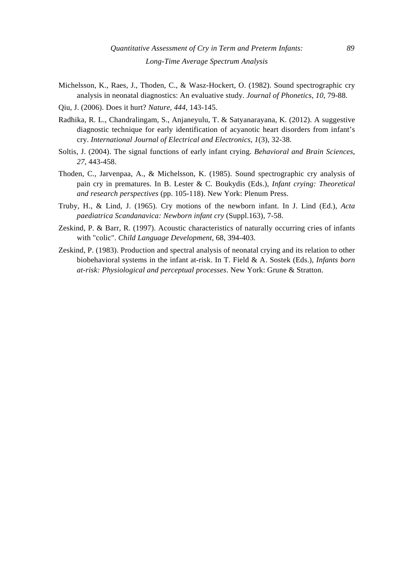- Michelsson, K., Raes, J., Thoden, C., & Wasz-Hockert, O. (1982). Sound spectrographic cry analysis in neonatal diagnostics: An evaluative study. *Journal of Phonetics*, *10*, 79-88.
- Qiu, J. (2006). Does it hurt? *Nature*, *444*, 143-145.
- Radhika, R. L., Chandralingam, S., Anjaneyulu, T. & Satyanarayana, K. (2012). A suggestive diagnostic technique for early identification of acyanotic heart disorders from infant's cry. *International Journal of Electrical and Electronics*, *1*(3), 32-38.
- Soltis, J. (2004). The signal functions of early infant crying. *Behavioral and Brain Sciences*, *27*, 443-458.
- Thoden, C., Jarvenpaa, A., & Michelsson, K. (1985). Sound spectrographic cry analysis of pain cry in prematures. In B. Lester & C. Boukydis (Eds.), *Infant crying: Theoretical and research perspectives* (pp. 105-118). New York: Plenum Press.
- Truby, H., & Lind, J. (1965). Cry motions of the newborn infant. In J. Lind (Ed.), *Acta paediatrica Scandanavica: Newborn infant cry* (Suppl.163), 7-58.
- Zeskind, P. & Barr, R. (1997). Acoustic characteristics of naturally occurring cries of infants with "colic". *Child Language Development*, 68, 394-403.
- Zeskind, P. (1983). Production and spectral analysis of neonatal crying and its relation to other biobehavioral systems in the infant at-risk. In T. Field & A. Sostek (Eds.), *Infants born at-risk: Physiological and perceptual processes*. New York: Grune & Stratton.